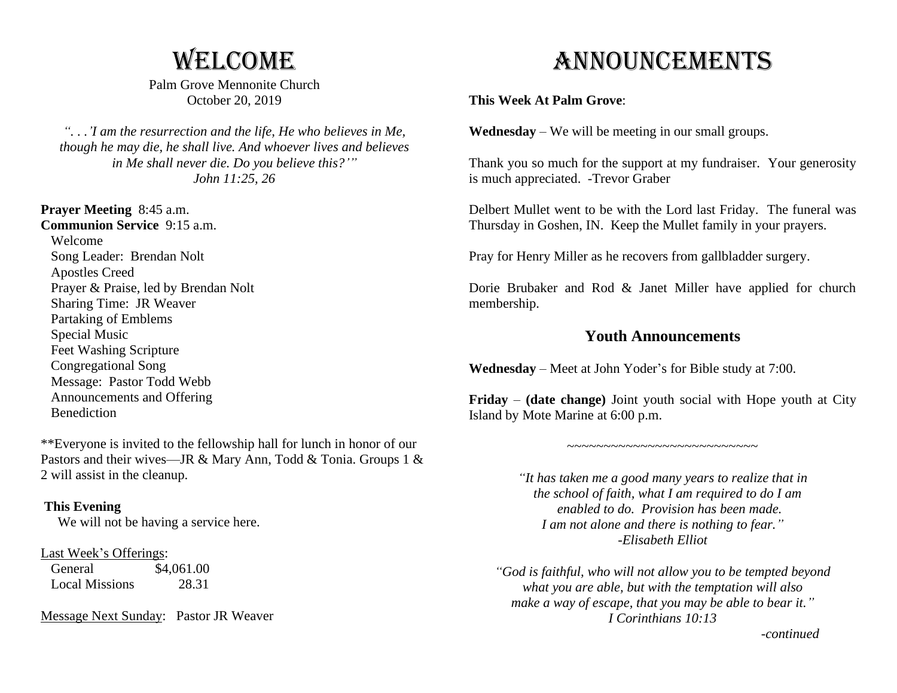## **WELCOME**

Palm Grove Mennonite Church October 20, 2019

*". . .'I am the resurrection and the life, He who believes in Me, though he may die, he shall live. And whoever lives and believes in Me shall never die. Do you believe this?'" John 11:25, 26*

**Prayer Meeting** 8:45 a.m. **Communion Service** 9:15 a.m. Welcome Song Leader: Brendan Nolt Apostles Creed Prayer & Praise, led by Brendan Nolt Sharing Time: JR Weaver Partaking of Emblems Special Music Feet Washing Scripture Congregational Song Message: Pastor Todd Webb Announcements and Offering Benediction

\*\*Everyone is invited to the fellowship hall for lunch in honor of our Pastors and their wives—JR & Mary Ann, Todd & Tonia. Groups 1 & 2 will assist in the cleanup.

#### **This Evening**

We will not be having a service here.

#### Last Week's Offerings:

General  $$4,061.00$ Local Missions 28.31

Message Next Sunday: Pastor JR Weaver

# Announcements

### **This Week At Palm Grove**:

**Wednesday** – We will be meeting in our small groups.

Thank you so much for the support at my fundraiser. Your generosity is much appreciated. -Trevor Graber

Delbert Mullet went to be with the Lord last Friday. The funeral was Thursday in Goshen, IN. Keep the Mullet family in your prayers.

Pray for Henry Miller as he recovers from gallbladder surgery.

Dorie Brubaker and Rod & Janet Miller have applied for church membership.

### **Youth Announcements**

**Wednesday** – Meet at John Yoder's for Bible study at 7:00.

**Friday** – **(date change)** Joint youth social with Hope youth at City Island by Mote Marine at 6:00 p.m.

 $~\sim$   $~\sim$   $~\sim$   $~\sim$   $~\sim$   $~\sim$   $~\sim$   $~\sim$   $~\sim$   $~\sim$   $~\sim$   $~\sim$   $~\sim$   $~\sim$ 

*"It has taken me a good many years to realize that in the school of faith, what I am required to do I am enabled to do. Provision has been made. I am not alone and there is nothing to fear." -Elisabeth Elliot*

*"God is faithful, who will not allow you to be tempted beyond what you are able, but with the temptation will also make a way of escape, that you may be able to bear it." I Corinthians 10:13*

 *-continued*